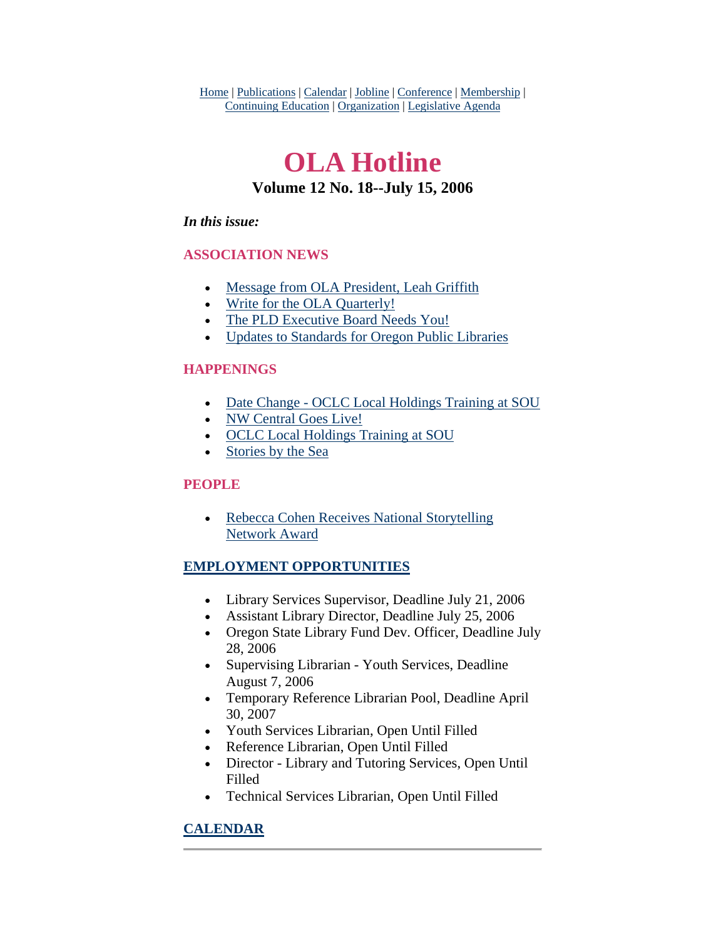Home | Publications | Calendar | Jobline | Conference | Membership | Continuing Education | Organization | Legislative Agenda

# **OLA Hotline Volume 12 No. 18--July 15, 2006**

### *In this issue:*

### **ASSOCIATION NEWS**

- [Message from OLA President, Leah Griffith](#page-1-0)
- [Write for the OLA Quarterly!](#page-3-0)
- [The PLD Executive Board Needs You!](#page-3-0)
- [Updates to Standards for Oregon Public Libraries](#page-4-0)

### **HAPPENINGS**

- [Date Change OCLC Local Holdings Training at SOU](#page-4-0)
- [NW Central Goes Live!](#page-5-0)
- [OCLC Local Holdings Training at SOU](#page-4-0)
- [Stories by the Sea](#page-5-0)

### **PEOPLE**

• Rebecca Cohen Receives National Storytelling [Network Award](#page-6-0)

### **EMPLOYMENT OPPORTUNITIES**

- Library Services Supervisor, Deadline July 21, 2006
- Assistant Library Director, Deadline July 25, 2006
- Oregon State Library Fund Dev. Officer, Deadline July 28, 2006
- Supervising Librarian Youth Services, Deadline August 7, 2006
- Temporary Reference Librarian Pool, Deadline April 30, 2007
- Youth Services Librarian, Open Until Filled
- Reference Librarian, Open Until Filled
- Director Library and Tutoring Services, Open Until Filled
- Technical Services Librarian, Open Until Filled

## **CALENDAR**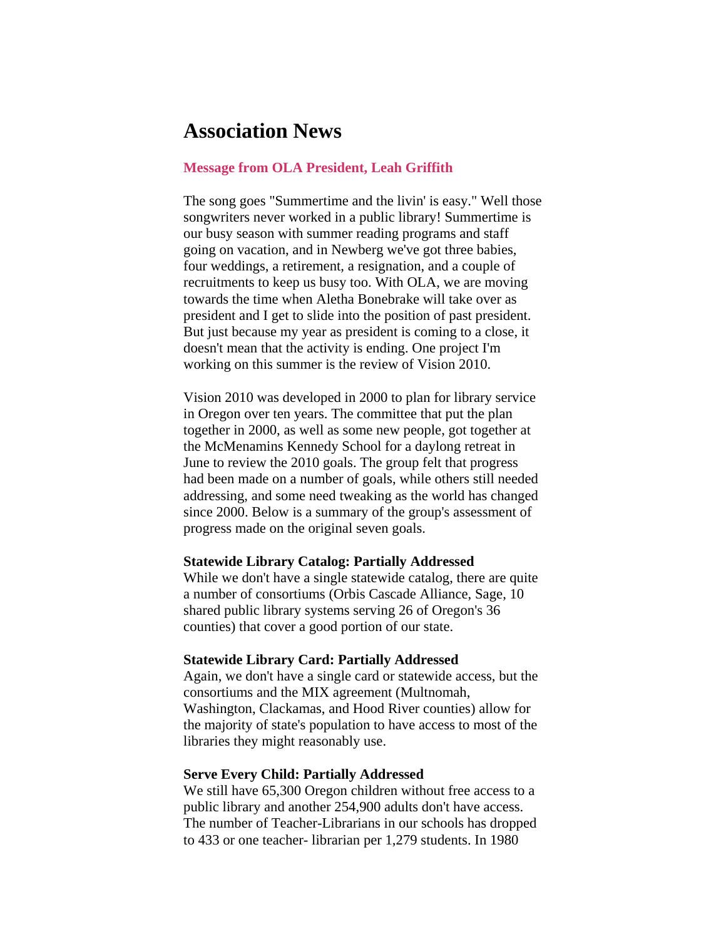## <span id="page-1-0"></span>**Association News**

#### **Message from OLA President, Leah Griffith**

The song goes "Summertime and the livin' is easy." Well those songwriters never worked in a public library! Summertime is our busy season with summer reading programs and staff going on vacation, and in Newberg we've got three babies, four weddings, a retirement, a resignation, and a couple of recruitments to keep us busy too. With OLA, we are moving towards the time when Aletha Bonebrake will take over as president and I get to slide into the position of past president. But just because my year as president is coming to a close, it doesn't mean that the activity is ending. One project I'm working on this summer is the review of Vision 2010.

Vision 2010 was developed in 2000 to plan for library service in Oregon over ten years. The committee that put the plan together in 2000, as well as some new people, got together at the McMenamins Kennedy School for a daylong retreat in June to review the 2010 goals. The group felt that progress had been made on a number of goals, while others still needed addressing, and some need tweaking as the world has changed since 2000. Below is a summary of the group's assessment of progress made on the original seven goals.

#### **Statewide Library Catalog: Partially Addressed**

While we don't have a single statewide catalog, there are quite a number of consortiums (Orbis Cascade Alliance, Sage, 10 shared public library systems serving 26 of Oregon's 36 counties) that cover a good portion of our state.

#### **Statewide Library Card: Partially Addressed**

Again, we don't have a single card or statewide access, but the consortiums and the MIX agreement (Multnomah, Washington, Clackamas, and Hood River counties) allow for the majority of state's population to have access to most of the libraries they might reasonably use.

#### **Serve Every Child: Partially Addressed**

We still have 65,300 Oregon children without free access to a public library and another 254,900 adults don't have access. The number of Teacher-Librarians in our schools has dropped to 433 or one teacher- librarian per 1,279 students. In 1980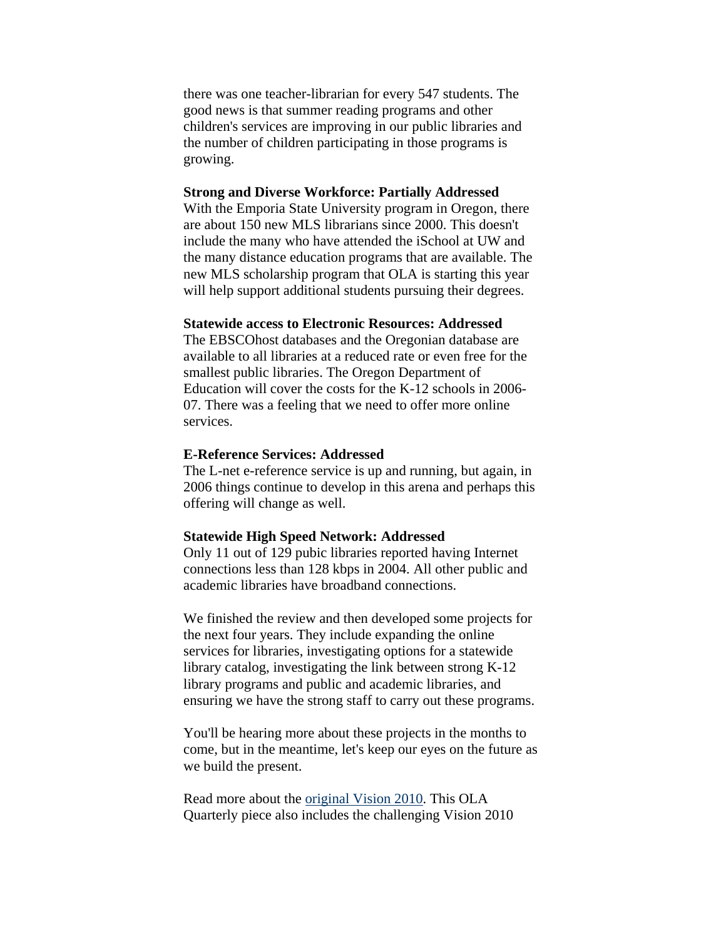there was one teacher-librarian for every 547 students. The good news is that summer reading programs and other children's services are improving in our public libraries and the number of children participating in those programs is growing.

#### **Strong and Diverse Workforce: Partially Addressed**

With the Emporia State University program in Oregon, there are about 150 new MLS librarians since 2000. This doesn't include the many who have attended the iSchool at UW and the many distance education programs that are available. The new MLS scholarship program that OLA is starting this year will help support additional students pursuing their degrees.

#### **Statewide access to Electronic Resources: Addressed**

The EBSCOhost databases and the Oregonian database are available to all libraries at a reduced rate or even free for the smallest public libraries. The Oregon Department of Education will cover the costs for the K-12 schools in 2006- 07. There was a feeling that we need to offer more online services.

#### **E-Reference Services: Addressed**

The L-net e-reference service is up and running, but again, in 2006 things continue to develop in this arena and perhaps this offering will change as well.

#### **Statewide High Speed Network: Addressed**

Only 11 out of 129 pubic libraries reported having Internet connections less than 128 kbps in 2004. All other public and academic libraries have broadband connections.

We finished the review and then developed some projects for the next four years. They include expanding the online services for libraries, investigating options for a statewide library catalog, investigating the link between strong K-12 library programs and public and academic libraries, and ensuring we have the strong staff to carry out these programs.

You'll be hearing more about these projects in the months to come, but in the meantime, let's keep our eyes on the future as we build the present.

Read more about the [original Vision 2010.](http://www.olaweb.org/quarterly/quar7-3/index.shtml) This OLA Quarterly piece also includes the challenging Vision 2010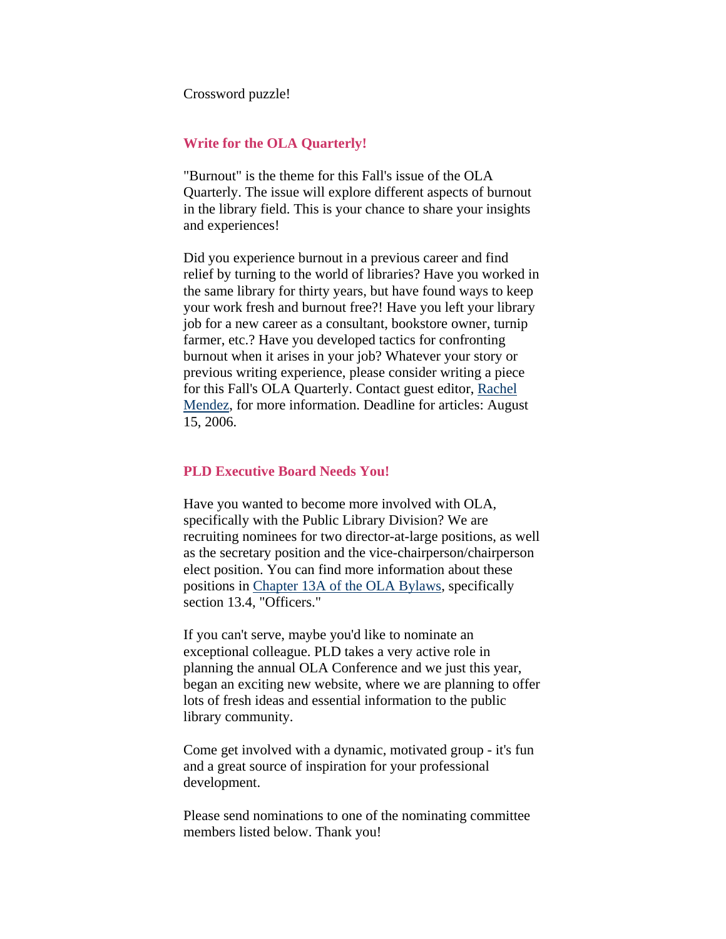<span id="page-3-0"></span>Crossword puzzle!

#### **Write for the OLA Quarterly!**

"Burnout" is the theme for this Fall's issue of the OLA Quarterly. The issue will explore different aspects of burnout in the library field. This is your chance to share your insights and experiences!

Did you experience burnout in a previous career and find relief by turning to the world of libraries? Have you worked in the same library for thirty years, but have found ways to keep your work fresh and burnout free?! Have you left your library job for a new career as a consultant, bookstore owner, turnip farmer, etc.? Have you developed tactics for confronting burnout when it arises in your job? Whatever your story or previous writing experience, please consider writing a piece for this Fall's OLA Quarterly. Contact guest editor, Rachel [Mendez](mailto:ola@olaweb.org), for more information. Deadline for articles: August 15, 2006.

#### **PLD Executive Board Needs You!**

Have you wanted to become more involved with OLA, specifically with the Public Library Division? We are recruiting nominees for two director-at-large positions, as well as the secretary position and the vice-chairperson/chairperson elect position. You can find more information about these positions in [Chapter 13A of the OLA Bylaws](http://www.olaweb.org/bylaws/public.shtml), specifically section 13.4, "Officers."

If you can't serve, maybe you'd like to nominate an exceptional colleague. PLD takes a very active role in planning the annual OLA Conference and we just this year, began an exciting new website, where we are planning to offer lots of fresh ideas and essential information to the public library community.

Come get involved with a dynamic, motivated group - it's fun and a great source of inspiration for your professional development.

Please send nominations to one of the nominating committee members listed below. Thank you!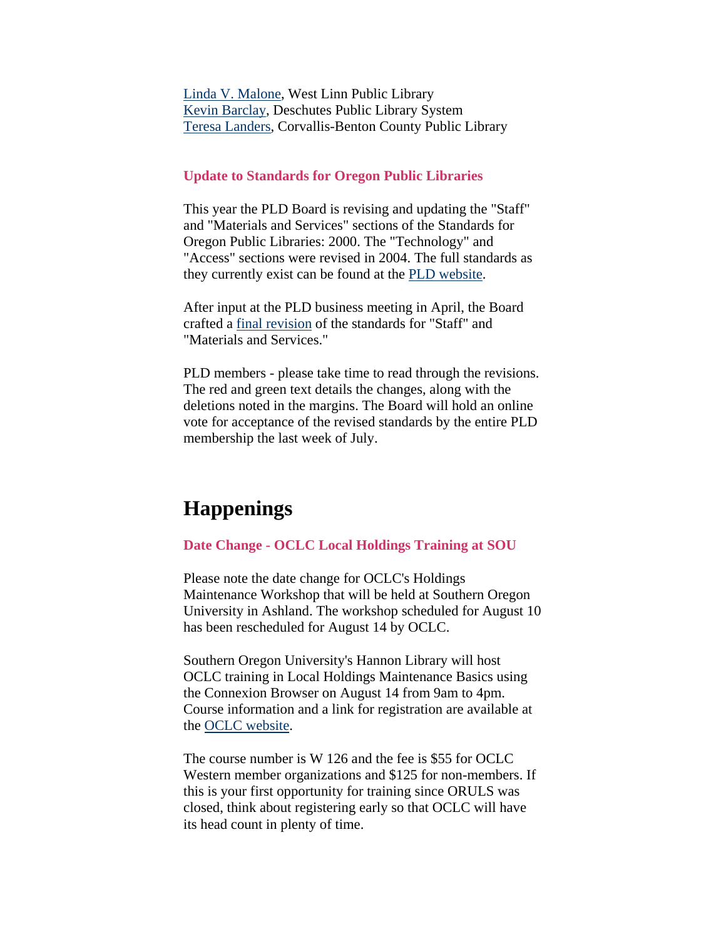<span id="page-4-0"></span>[Linda V. Malone](mailto:lmalone@ci.west-linn.or.us), West Linn Public Library [Kevin Barclay](mailto:kevinb@dpls.lib.or.us), Deschutes Public Library System [Teresa Landers](mailto:teresa.landers@ci.corvallis.or.us), Corvallis-Benton County Public Library

#### **Update to Standards for Oregon Public Libraries**

This year the PLD Board is revising and updating the "Staff" and "Materials and Services" sections of the Standards for Oregon Public Libraries: 2000. The "Technology" and "Access" sections were revised in 2004. The full standards as they currently exist can be found at the [PLD website](http://olaweb.org/pld/standards_menu.html).

After input at the PLD business meeting in April, the Board crafted a [final revision](http://olaweb.org/pld/standards_updates.html) of the standards for "Staff" and "Materials and Services."

PLD members - please take time to read through the revisions. The red and green text details the changes, along with the deletions noted in the margins. The Board will hold an online vote for acceptance of the revised standards by the entire PLD membership the last week of July.

## **Happenings**

#### **Date Change - OCLC Local Holdings Training at SOU**

Please note the date change for OCLC's Holdings Maintenance Workshop that will be held at Southern Oregon University in Ashland. The workshop scheduled for August 10 has been rescheduled for August 14 by OCLC.

Southern Oregon University's Hannon Library will host OCLC training in Local Holdings Maintenance Basics using the Connexion Browser on August 14 from 9am to 4pm. Course information and a link for registration are available at the [OCLC website](http://www.oclc.org/western/training/courses/descriptions/W126.htm).

The course number is W 126 and the fee is \$55 for OCLC Western member organizations and \$125 for non-members. If this is your first opportunity for training since ORULS was closed, think about registering early so that OCLC will have its head count in plenty of time.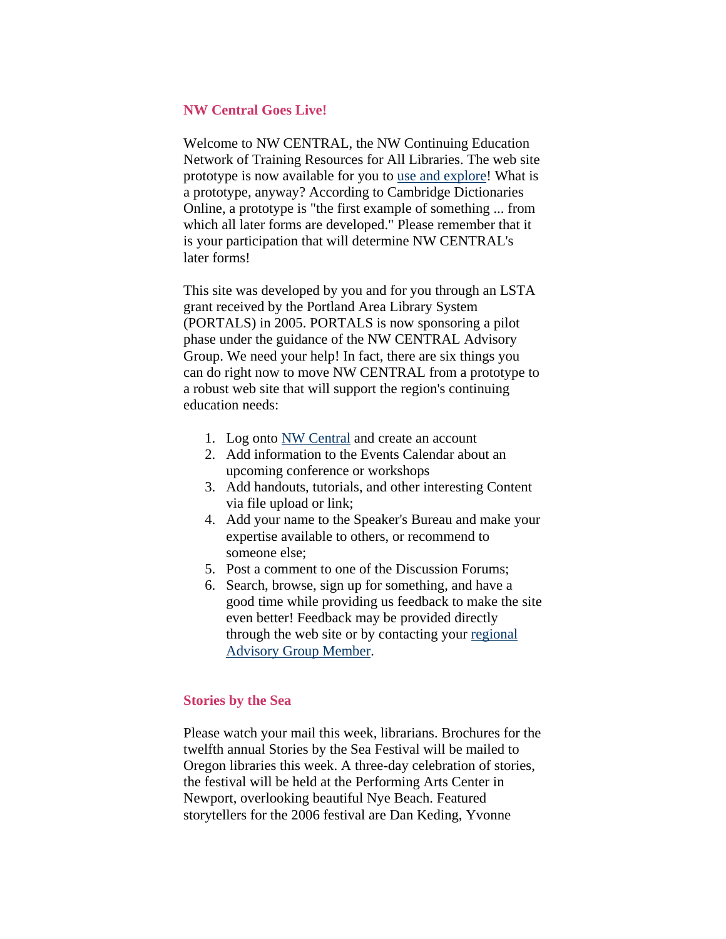#### <span id="page-5-0"></span>**NW Central Goes Live!**

Welcome to NW CENTRAL, the NW Continuing Education Network of Training Resources for All Libraries. The web site prototype is now available for you to [use and explore](http://www.nwcentral.org/)! What is a prototype, anyway? According to Cambridge Dictionaries Online, a prototype is "the first example of something ... from which all later forms are developed." Please remember that it is your participation that will determine NW CENTRAL's later forms!

This site was developed by you and for you through an LSTA grant received by the Portland Area Library System (PORTALS) in 2005. PORTALS is now sponsoring a pilot phase under the guidance of the NW CENTRAL Advisory Group. We need your help! In fact, there are six things you can do right now to move NW CENTRAL from a prototype to a robust web site that will support the region's continuing education needs:

- 1. Log onto **NW Central** and create an account
- 2. Add information to the Events Calendar about an upcoming conference or workshops
- 3. Add handouts, tutorials, and other interesting Content via file upload or link;
- 4. Add your name to the Speaker's Bureau and make your expertise available to others, or recommend to someone else;
- 5. Post a comment to one of the Discussion Forums;
- 6. Search, browse, sign up for something, and have a good time while providing us feedback to make the site even better! Feedback may be provided directly through the web site or by contacting your [regional](http://www.nwcentral.org/?q=about#advisorygroup)  [Advisory Group Member.](http://www.nwcentral.org/?q=about#advisorygroup)

#### **Stories by the Sea**

Please watch your mail this week, librarians. Brochures for the twelfth annual Stories by the Sea Festival will be mailed to Oregon libraries this week. A three-day celebration of stories, the festival will be held at the Performing Arts Center in Newport, overlooking beautiful Nye Beach. Featured storytellers for the 2006 festival are Dan Keding, Yvonne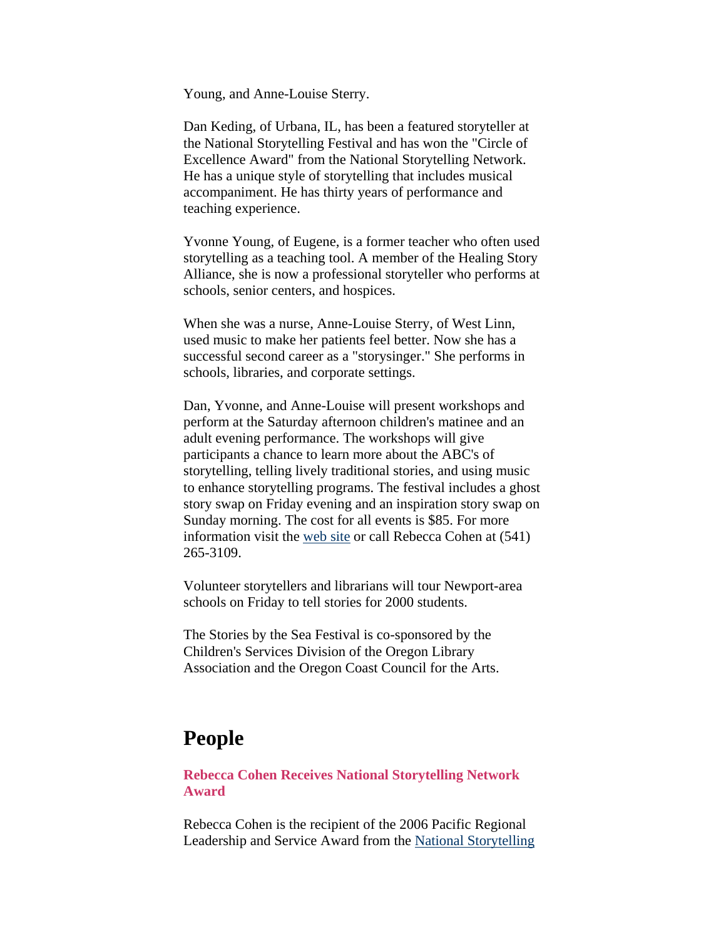<span id="page-6-0"></span>Young, and Anne-Louise Sterry.

Dan Keding, of Urbana, IL, has been a featured storyteller at the National Storytelling Festival and has won the "Circle of Excellence Award" from the National Storytelling Network. He has a unique style of storytelling that includes musical accompaniment. He has thirty years of performance and teaching experience.

Yvonne Young, of Eugene, is a former teacher who often used storytelling as a teaching tool. A member of the Healing Story Alliance, she is now a professional storyteller who performs at schools, senior centers, and hospices.

When she was a nurse, Anne-Louise Sterry, of West Linn, used music to make her patients feel better. Now she has a successful second career as a "storysinger." She performs in schools, libraries, and corporate settings.

Dan, Yvonne, and Anne-Louise will present workshops and perform at the Saturday afternoon children's matinee and an adult evening performance. The workshops will give participants a chance to learn more about the ABC's of storytelling, telling lively traditional stories, and using music to enhance storytelling programs. The festival includes a ghost story swap on Friday evening and an inspiration story swap on Sunday morning. The cost for all events is \$85. For more information visit the [web site](http://www.olaweb.org/csd/stories.html) or call Rebecca Cohen at (541) 265-3109.

Volunteer storytellers and librarians will tour Newport-area schools on Friday to tell stories for 2000 students.

The Stories by the Sea Festival is co-sponsored by the Children's Services Division of the Oregon Library Association and the Oregon Coast Council for the Arts.

## **People**

**Rebecca Cohen Receives National Storytelling Network Award**

Rebecca Cohen is the recipient of the 2006 Pacific Regional Leadership and Service Award from the [National Storytelling](http://www.storynet.org/)